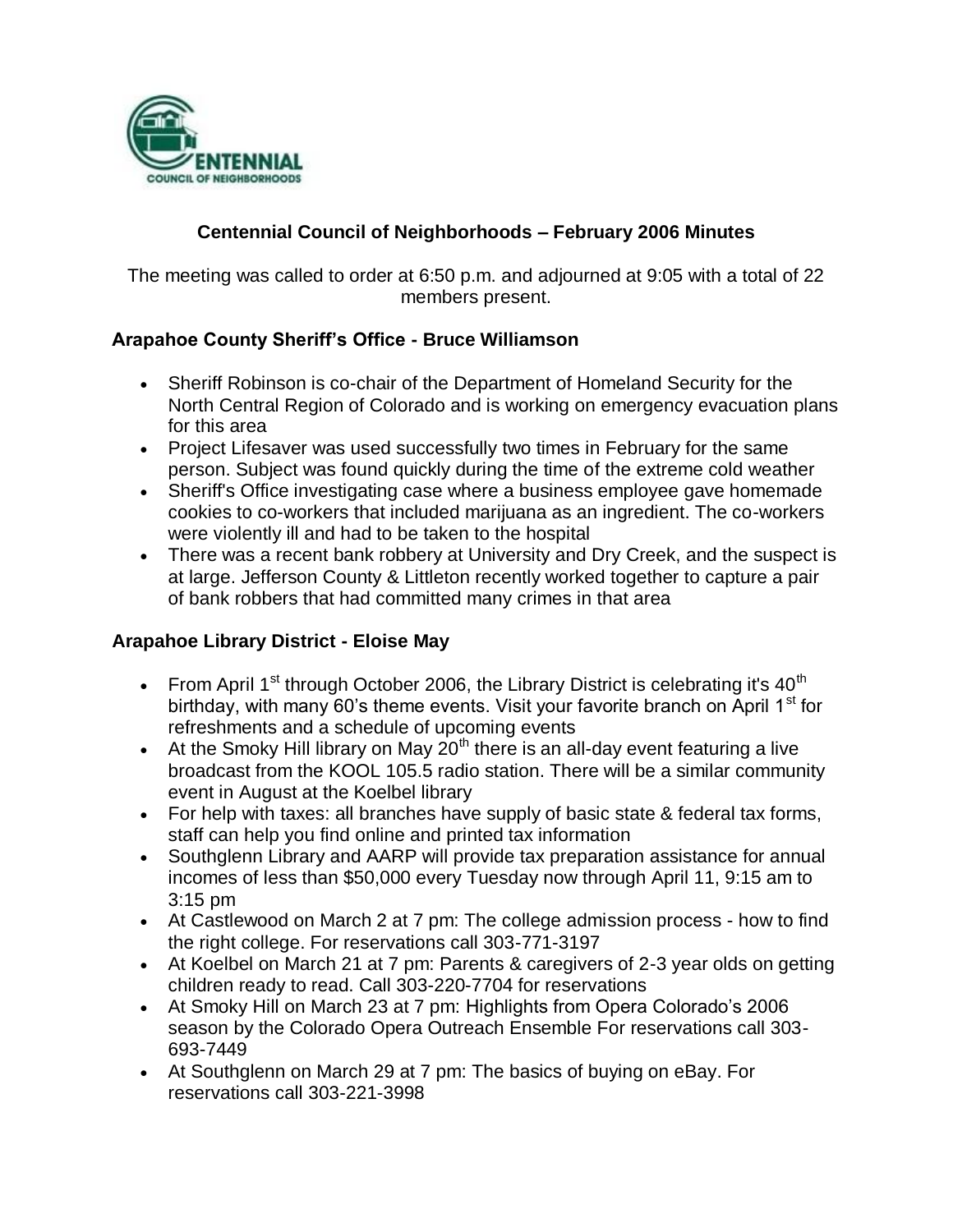

# **Centennial Council of Neighborhoods – February 2006 Minutes**

The meeting was called to order at 6:50 p.m. and adjourned at 9:05 with a total of 22 members present.

### **Arapahoe County Sheriff's Office - Bruce Williamson**

- Sheriff Robinson is co-chair of the Department of Homeland Security for the North Central Region of Colorado and is working on emergency evacuation plans for this area
- Project Lifesaver was used successfully two times in February for the same person. Subject was found quickly during the time of the extreme cold weather
- Sheriff's Office investigating case where a business employee gave homemade cookies to co-workers that included marijuana as an ingredient. The co-workers were violently ill and had to be taken to the hospital
- There was a recent bank robbery at University and Dry Creek, and the suspect is at large. Jefferson County & Littleton recently worked together to capture a pair of bank robbers that had committed many crimes in that area

#### **Arapahoe Library District - Eloise May**

- From April 1<sup>st</sup> through October 2006, the Library District is celebrating it's  $40<sup>th</sup>$ birthday, with many 60's theme events. Visit your favorite branch on April  $1<sup>st</sup>$  for refreshments and a schedule of upcoming events
- At the Smoky Hill library on May  $20<sup>th</sup>$  there is an all-day event featuring a live broadcast from the KOOL 105.5 radio station. There will be a similar community event in August at the Koelbel library
- For help with taxes: all branches have supply of basic state & federal tax forms, staff can help you find online and printed tax information
- Southglenn Library and AARP will provide tax preparation assistance for annual incomes of less than \$50,000 every Tuesday now through April 11, 9:15 am to 3:15 pm
- At Castlewood on March 2 at 7 pm: The college admission process how to find the right college. For reservations call 303-771-3197
- At Koelbel on March 21 at 7 pm: Parents & caregivers of 2-3 year olds on getting children ready to read. Call 303-220-7704 for reservations
- At Smoky Hill on March 23 at 7 pm: Highlights from Opera Colorado's 2006 season by the Colorado Opera Outreach Ensemble For reservations call 303- 693-7449
- At Southglenn on March 29 at 7 pm: The basics of buying on eBay. For reservations call 303-221-3998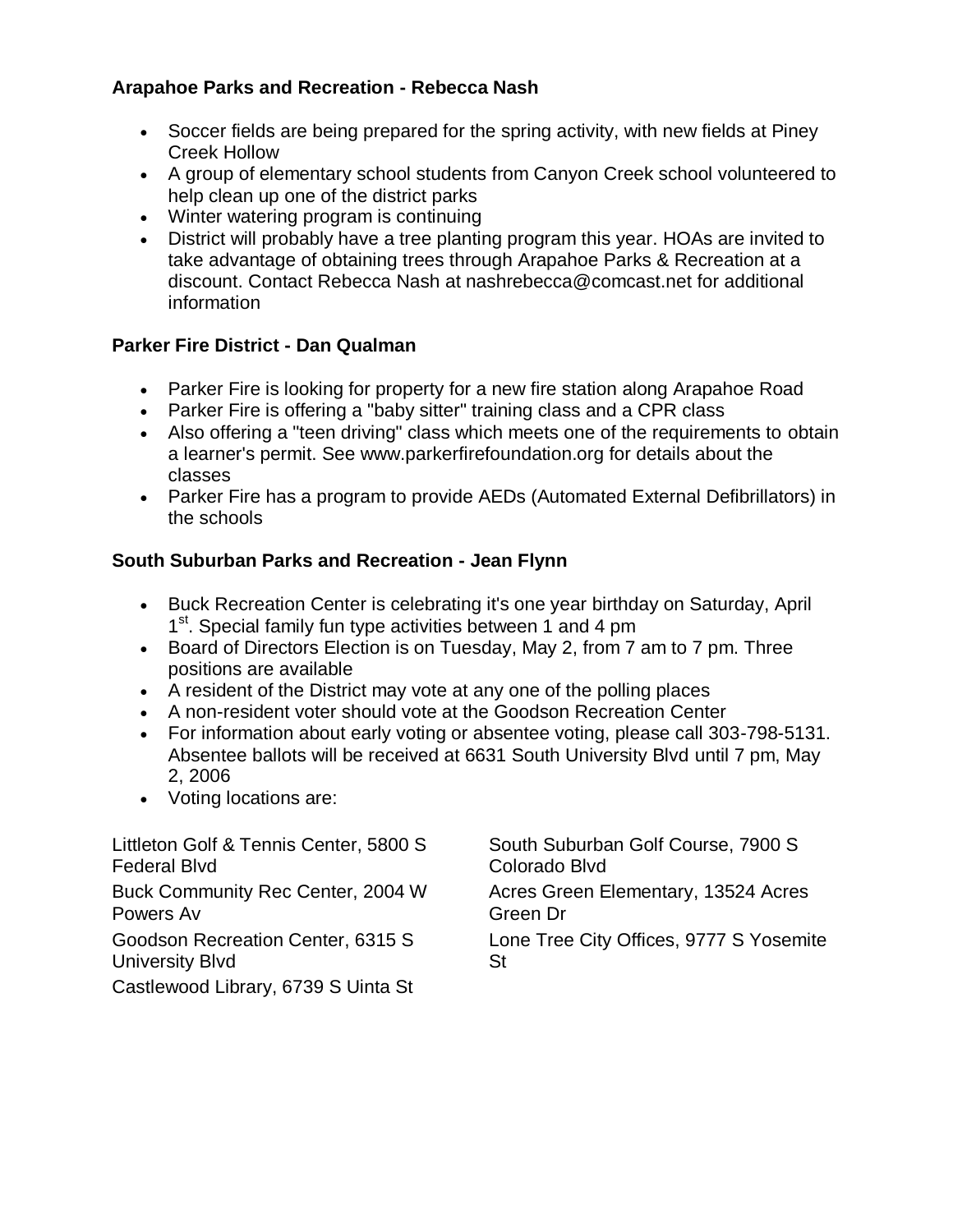### **Arapahoe Parks and Recreation - Rebecca Nash**

- Soccer fields are being prepared for the spring activity, with new fields at Piney Creek Hollow
- A group of elementary school students from Canyon Creek school volunteered to help clean up one of the district parks
- Winter watering program is continuing
- District will probably have a tree planting program this year. HOAs are invited to take advantage of obtaining trees through Arapahoe Parks & Recreation at a discount. Contact Rebecca Nash at nashrebecca@comcast.net for additional information

### **Parker Fire District - Dan Qualman**

- Parker Fire is looking for property for a new fire station along Arapahoe Road
- Parker Fire is offering a "baby sitter" training class and a CPR class
- Also offering a "teen driving" class which meets one of the requirements to obtain a learner's permit. See www.parkerfirefoundation.org for details about the classes
- Parker Fire has a program to provide AEDs (Automated External Defibrillators) in the schools

### **South Suburban Parks and Recreation - Jean Flynn**

- Buck Recreation Center is celebrating it's one year birthday on Saturday, April 1<sup>st</sup>. Special family fun type activities between 1 and 4 pm
- Board of Directors Election is on Tuesday, May 2, from 7 am to 7 pm. Three positions are available
- A resident of the District may vote at any one of the polling places
- A non-resident voter should vote at the Goodson Recreation Center
- For information about early voting or absentee voting, please call 303-798-5131. Absentee ballots will be received at 6631 South University Blvd until 7 pm, May 2, 2006
- Voting locations are:

| Littleton Golf & Tennis Center, 5800 S | South Suburban Golf Course, 7900 S      |
|----------------------------------------|-----------------------------------------|
| Federal Blvd                           | Colorado Blvd                           |
| Buck Community Rec Center, 2004 W      | Acres Green Elementary, 13524 Acres     |
| Powers Av                              | Green Dr                                |
| Goodson Recreation Center, 6315 S      | Lone Tree City Offices, 9777 S Yosemite |
| University Blvd                        | St                                      |
| Castlewood Library, 6739 S Uinta St    |                                         |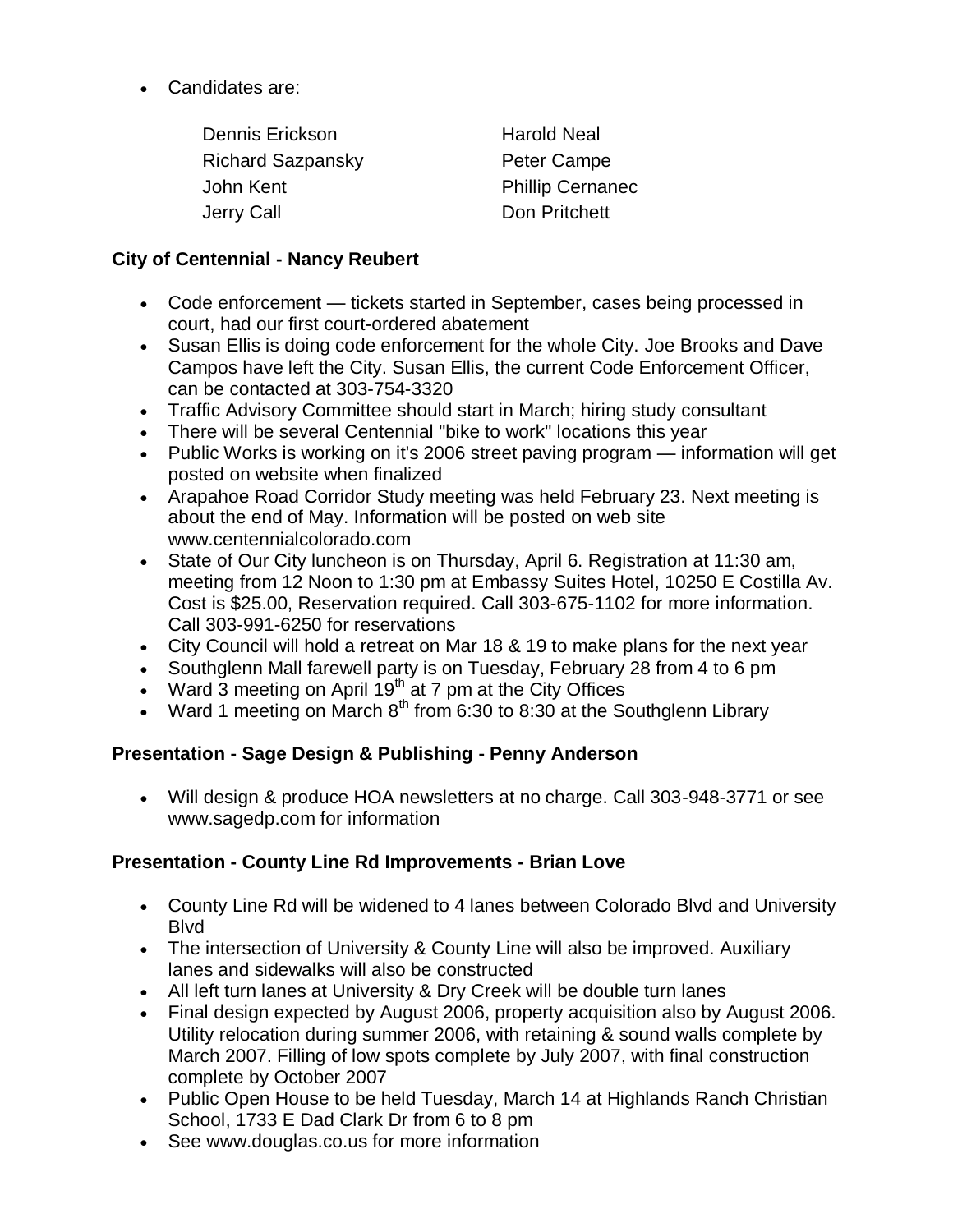Candidates are:

| <b>Harold Neal</b>      |
|-------------------------|
| Peter Campe             |
| <b>Phillip Cernanec</b> |
| Don Pritchett           |
|                         |

### **City of Centennial - Nancy Reubert**

- Code enforcement tickets started in September, cases being processed in court, had our first court-ordered abatement
- Susan Ellis is doing code enforcement for the whole City. Joe Brooks and Dave Campos have left the City. Susan Ellis, the current Code Enforcement Officer, can be contacted at 303-754-3320
- Traffic Advisory Committee should start in March; hiring study consultant
- There will be several Centennial "bike to work" locations this year
- Public Works is working on it's 2006 street paving program information will get posted on website when finalized
- Arapahoe Road Corridor Study meeting was held February 23. Next meeting is about the end of May. Information will be posted on web site www.centennialcolorado.com
- State of Our City luncheon is on Thursday, April 6. Registration at 11:30 am, meeting from 12 Noon to 1:30 pm at Embassy Suites Hotel, 10250 E Costilla Av. Cost is \$25.00, Reservation required. Call 303-675-1102 for more information. Call 303-991-6250 for reservations
- City Council will hold a retreat on Mar 18 & 19 to make plans for the next year
- Southglenn Mall farewell party is on Tuesday, February 28 from 4 to 6 pm
- Ward  $\overline{3}$  meeting on April 19<sup>th</sup> at 7 pm at the City Offices
- Ward 1 meeting on March  $8<sup>th</sup>$  from 6:30 to 8:30 at the Southglenn Library

# **Presentation - Sage Design & Publishing - Penny Anderson**

 Will design & produce HOA newsletters at no charge. Call 303-948-3771 or see www.sagedp.com for information

### **Presentation - County Line Rd Improvements - Brian Love**

- County Line Rd will be widened to 4 lanes between Colorado Blvd and University Blvd
- The intersection of University & County Line will also be improved. Auxiliary lanes and sidewalks will also be constructed
- All left turn lanes at University & Dry Creek will be double turn lanes
- Final design expected by August 2006, property acquisition also by August 2006. Utility relocation during summer 2006, with retaining & sound walls complete by March 2007. Filling of low spots complete by July 2007, with final construction complete by October 2007
- Public Open House to be held Tuesday, March 14 at Highlands Ranch Christian School, 1733 E Dad Clark Dr from 6 to 8 pm
- See www.douglas.co.us for more information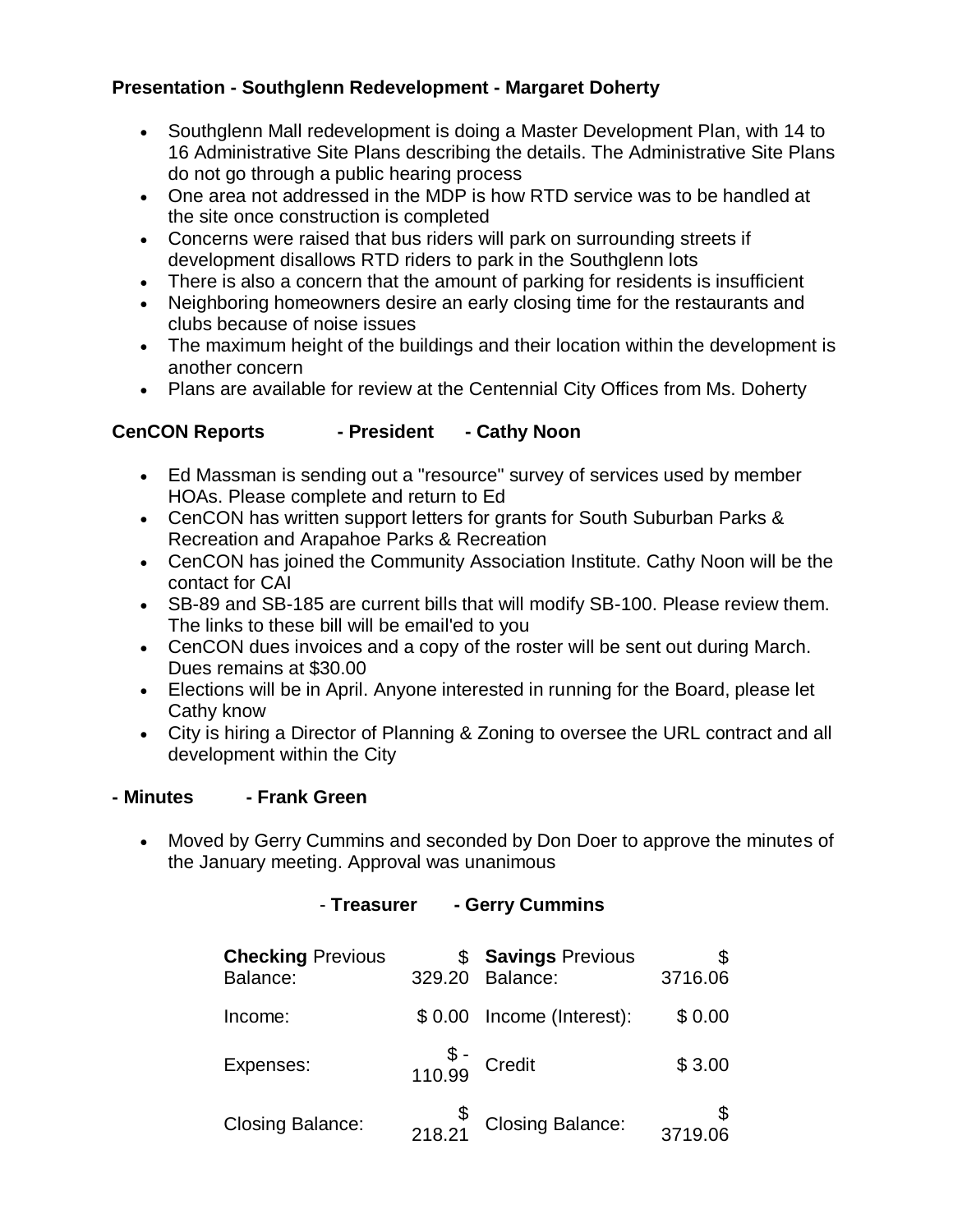## **Presentation - Southglenn Redevelopment - Margaret Doherty**

- Southglenn Mall redevelopment is doing a Master Development Plan, with 14 to 16 Administrative Site Plans describing the details. The Administrative Site Plans do not go through a public hearing process
- One area not addressed in the MDP is how RTD service was to be handled at the site once construction is completed
- Concerns were raised that bus riders will park on surrounding streets if development disallows RTD riders to park in the Southglenn lots
- There is also a concern that the amount of parking for residents is insufficient
- Neighboring homeowners desire an early closing time for the restaurants and clubs because of noise issues
- The maximum height of the buildings and their location within the development is another concern
- Plans are available for review at the Centennial City Offices from Ms. Doherty

### **CenCON Reports - President - Cathy Noon**

- Ed Massman is sending out a "resource" survey of services used by member HOAs. Please complete and return to Ed
- CenCON has written support letters for grants for South Suburban Parks & Recreation and Arapahoe Parks & Recreation
- CenCON has joined the Community Association Institute. Cathy Noon will be the contact for CAI
- SB-89 and SB-185 are current bills that will modify SB-100. Please review them. The links to these bill will be email'ed to you
- CenCON dues invoices and a copy of the roster will be sent out during March. Dues remains at \$30.00
- Elections will be in April. Anyone interested in running for the Board, please let Cathy know
- City is hiring a Director of Planning & Zoning to oversee the URL contract and all development within the City

#### **- Minutes - Frank Green**

 Moved by Gerry Cummins and seconded by Don Doer to approve the minutes of the January meeting. Approval was unanimous

## - **Treasurer - Gerry Cummins**

| <b>Checking Previous</b><br>Balance: | 329.20                                           | <b>Savings Previous</b><br>Balance:                                 | 3716.06 |
|--------------------------------------|--------------------------------------------------|---------------------------------------------------------------------|---------|
| Income:                              | \$0.00                                           | Income (Interest):                                                  | \$0.00  |
| Expenses:                            | $\begin{matrix} 8 \\ 110.99 \end{matrix}$ Credit |                                                                     | \$3.00  |
| <b>Closing Balance:</b>              |                                                  | $\begin{matrix} \mathbb{S} \\ 218.21 \end{matrix}$ Closing Balance: | 3719.06 |